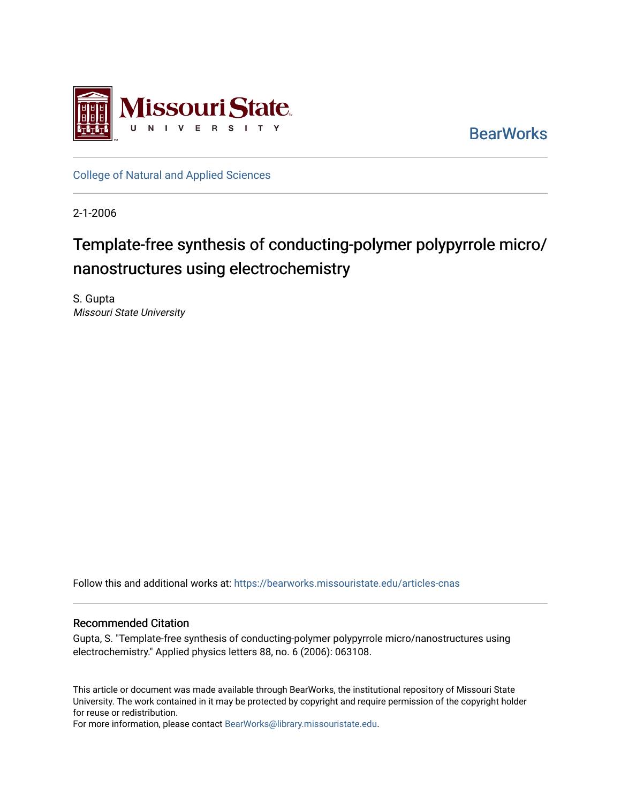

**BearWorks** 

[College of Natural and Applied Sciences](https://bearworks.missouristate.edu/articles-cnas)

2-1-2006

## Template-free synthesis of conducting-polymer polypyrrole micro/ nanostructures using electrochemistry

S. Gupta Missouri State University

Follow this and additional works at: [https://bearworks.missouristate.edu/articles-cnas](https://bearworks.missouristate.edu/articles-cnas?utm_source=bearworks.missouristate.edu%2Farticles-cnas%2F1694&utm_medium=PDF&utm_campaign=PDFCoverPages) 

## Recommended Citation

Gupta, S. "Template-free synthesis of conducting-polymer polypyrrole micro/nanostructures using electrochemistry." Applied physics letters 88, no. 6 (2006): 063108.

This article or document was made available through BearWorks, the institutional repository of Missouri State University. The work contained in it may be protected by copyright and require permission of the copyright holder for reuse or redistribution.

For more information, please contact [BearWorks@library.missouristate.edu.](mailto:BearWorks@library.missouristate.edu)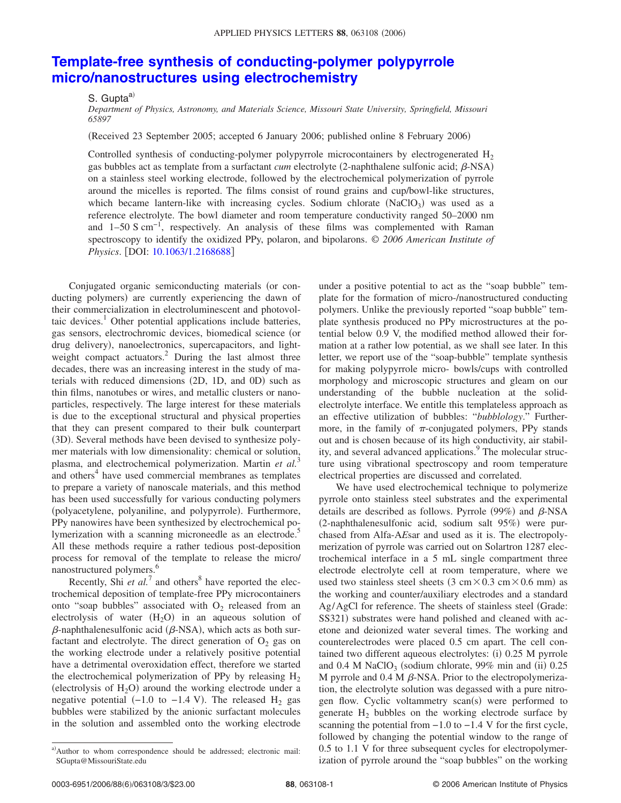## **[Template-free synthesis of conducting-polymer polypyrrole](http://dx.doi.org/10.1063/1.2168688) [micro/nanostructures using electrochemistry](http://dx.doi.org/10.1063/1.2168688)**

## S. Gupta<sup>a)</sup>

*Department of Physics, Astronomy, and Materials Science, Missouri State University, Springfield, Missouri 65897*

(Received 23 September 2005; accepted 6 January 2006; published online 8 February 2006)

Controlled synthesis of conducting-polymer polypyrrole microcontainers by electrogenerated  $H_2$ gas bubbles act as template from a surfactant *cum* electrolyte (2-naphthalene sulfonic acid;  $\beta$ -NSA) on a stainless steel working electrode, followed by the electrochemical polymerization of pyrrole around the micelles is reported. The films consist of round grains and cup/bowl-like structures, which became lantern-like with increasing cycles. Sodium chlorate  $(NaClO<sub>3</sub>)$  was used as a reference electrolyte. The bowl diameter and room temperature conductivity ranged 50–2000 nm and 1–50 S cm−1, respectively. An analysis of these films was complemented with Raman spectroscopy to identify the oxidized PPy, polaron, and bipolarons. © *2006 American Institute of Physics*. [DOI: [10.1063/1.2168688](http://dx.doi.org/10.1063/1.2168688)]

Conjugated organic semiconducting materials (or conducting polymers) are currently experiencing the dawn of their commercialization in electroluminescent and photovoltaic devices. $<sup>1</sup>$  Other potential applications include batteries,</sup> gas sensors, electrochromic devices, biomedical science (or drug delivery), nanoelectronics, supercapacitors, and lightweight compact actuators.<sup>2</sup> During the last almost three decades, there was an increasing interest in the study of materials with reduced dimensions (2D, 1D, and 0D) such as thin films, nanotubes or wires, and metallic clusters or nanoparticles, respectively. The large interest for these materials is due to the exceptional structural and physical properties that they can present compared to their bulk counterpart (3D). Several methods have been devised to synthesize polymer materials with low dimensionality: chemical or solution, plasma, and electrochemical polymerization. Martin *et al.*<sup>3</sup> and others<sup>4</sup> have used commercial membranes as templates to prepare a variety of nanoscale materials, and this method has been used successfully for various conducting polymers (polyacetylene, polyaniline, and polypyrrole). Furthermore, PPy nanowires have been synthesized by electrochemical polymerization with a scanning microneedle as an electrode.<sup>5</sup> All these methods require a rather tedious post-deposition process for removal of the template to release the micro/ nanostructured polymers.<sup>6</sup>

Recently, Shi  $et al.<sup>7</sup>$  and others<sup>8</sup> have reported the electrochemical deposition of template-free PPy microcontainers onto "soap bubbles" associated with  $O<sub>2</sub>$  released from an electrolysis of water  $(H_2O)$  in an aqueous solution of  $\beta$ -naphthalenesulfonic acid ( $\beta$ -NSA), which acts as both surfactant and electrolyte. The direct generation of  $O<sub>2</sub>$  gas on the working electrode under a relatively positive potential have a detrimental overoxidation effect, therefore we started the electrochemical polymerization of PPy by releasing  $H_2$ (electrolysis of  $H_2O$ ) around the working electrode under a negative potential  $(-1.0 \text{ to } -1.4 \text{ V})$ . The released H<sub>2</sub> gas bubbles were stabilized by the anionic surfactant molecules in the solution and assembled onto the working electrode

under a positive potential to act as the "soap bubble" template for the formation of micro-/nanostructured conducting polymers. Unlike the previously reported "soap bubble" template synthesis produced no PPy microstructures at the potential below 0.9 V, the modified method allowed their formation at a rather low potential, as we shall see later. In this letter, we report use of the "soap-bubble" template synthesis for making polypyrrole micro- bowls/cups with controlled morphology and microscopic structures and gleam on our understanding of the bubble nucleation at the solidelectrolyte interface. We entitle this templateless approach as an effective utilization of bubbles: "*bubblology*." Furthermore, in the family of  $\pi$ -conjugated polymers, PPy stands out and is chosen because of its high conductivity, air stability, and several advanced applications.<sup>9</sup> The molecular structure using vibrational spectroscopy and room temperature electrical properties are discussed and correlated.

We have used electrochemical technique to polymerize pyrrole onto stainless steel substrates and the experimental details are described as follows. Pyrrole (99%) and  $\beta$ -NSA (2-naphthalenesulfonic acid, sodium salt 95%) were purchased from Alfa-A*E*sar and used as it is. The electropolymerization of pyrrole was carried out on Solartron 1287 electrochemical interface in a 5 mL single compartment three electrode electrolyte cell at room temperature, where we used two stainless steel sheets  $(3 \text{ cm} \times 0.3 \text{ cm} \times 0.6 \text{ mm})$  as the working and counter/auxiliary electrodes and a standard Ag/AgCl for reference. The sheets of stainless steel Grade: SS321) substrates were hand polished and cleaned with acetone and deionized water several times. The working and counterelectrodes were placed 0.5 cm apart. The cell contained two different aqueous electrolytes: (i) 0.25 M pyrrole and 0.4 M NaClO<sub>3</sub> (sodium chlorate, 99% min and (ii)  $0.25$ M pyrrole and  $0.4$  M  $\beta$ -NSA. Prior to the electropolymerization, the electrolyte solution was degassed with a pure nitrogen flow. Cyclic voltammetry scan(s) were performed to generate  $H_2$  bubbles on the working electrode surface by scanning the potential from −1.0 to −1.4 V for the first cycle, followed by changing the potential window to the range of 0.5 to 1.1 V for three subsequent cycles for electropolymerization of pyrrole around the "soap bubbles" on the working

a)Author to whom correspondence should be addressed; electronic mail: SGupta@MissouriState.edu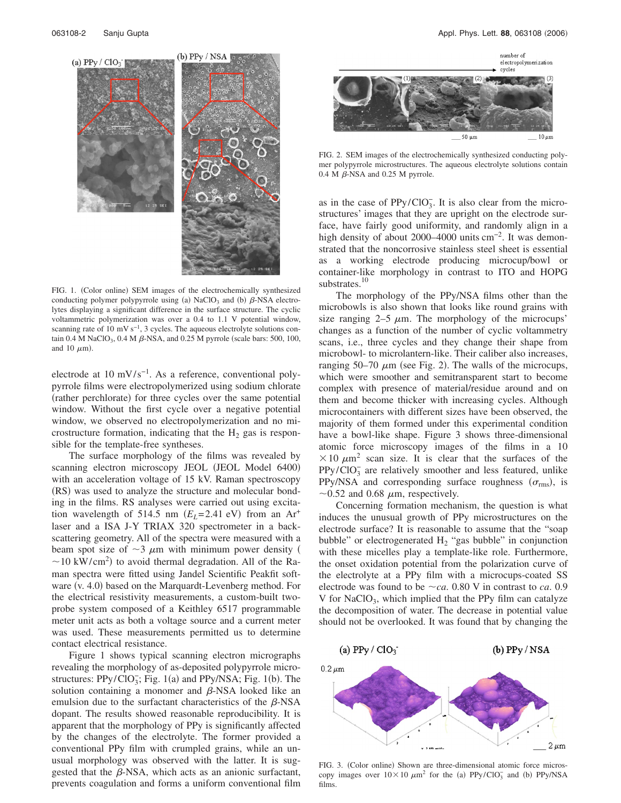

FIG. 1. (Color online) SEM images of the electrochemically synthesized conducting polymer polypyrrole using (a) NaClO<sub>3</sub> and (b)  $\beta$ -NSA electrolytes displaying a significant difference in the surface structure. The cyclic voltammetric polymerization was over a 0.4 to 1.1 V potential window, scanning rate of 10 mV s<sup>-1</sup>, 3 cycles. The aqueous electrolyte solutions contain  $0.4$  M NaClO<sub>3</sub>,  $0.4$  M  $\beta$ -NSA, and  $0.25$  M pyrrole (scale bars: 500, 100, and 10  $\mu$ m).

electrode at  $10 \text{ mV/s}^{-1}$ . As a reference, conventional polypyrrole films were electropolymerized using sodium chlorate (rather perchlorate) for three cycles over the same potential window. Without the first cycle over a negative potential window, we observed no electropolymerization and no microstructure formation, indicating that the  $H_2$  gas is responsible for the template-free syntheses.

The surface morphology of the films was revealed by scanning electron microscopy JEOL (JEOL Model 6400) with an acceleration voltage of 15 kV. Raman spectroscopy (RS) was used to analyze the structure and molecular bonding in the films. RS analyses were carried out using excitation wavelength of 514.5 nm  $(E_L = 2.41 \text{ eV})$  from an Ar<sup>+</sup> laser and a ISA J-Y TRIAX 320 spectrometer in a backscattering geometry. All of the spectra were measured with a beam spot size of  $\sim$ 3  $\mu$ m with minimum power density (  $\sim$  10 kW/cm<sup>2</sup>) to avoid thermal degradation. All of the Raman spectra were fitted using Jandel Scientific Peakfit software (v. 4.0) based on the Marquardt-Levenberg method. For the electrical resistivity measurements, a custom-built twoprobe system composed of a Keithley 6517 programmable meter unit acts as both a voltage source and a current meter was used. These measurements permitted us to determine contact electrical resistance.

Figure 1 shows typical scanning electron micrographs revealing the morphology of as-deposited polypyrrole microstructures:  $PPy/ClO<sub>3</sub>$ ; Fig. 1(a) and PPy/NSA; Fig. 1(b). The solution containing a monomer and  $\beta$ -NSA looked like an emulsion due to the surfactant characteristics of the  $\beta$ -NSA dopant. The results showed reasonable reproducibility. It is apparent that the morphology of PPy is significantly affected by the changes of the electrolyte. The former provided a conventional PPy film with crumpled grains, while an unusual morphology was observed with the latter. It is suggested that the  $\beta$ -NSA, which acts as an anionic surfactant, prevents coagulation and forms a uniform conventional film



FIG. 2. SEM images of the electrochemically synthesized conducting polymer polypyrrole microstructures. The aqueous electrolyte solutions contain  $0.4$  M  $\beta$ -NSA and 0.25 M pyrrole.

as in the case of  $PPy/ClO<sub>3</sub><sup>-</sup>$ . It is also clear from the microstructures' images that they are upright on the electrode surface, have fairly good uniformity, and randomly align in a high density of about 2000–4000 units cm<sup>-2</sup>. It was demonstrated that the noncorrosive stainless steel sheet is essential as a working electrode producing microcup/bowl or container-like morphology in contrast to ITO and HOPG substrates.<sup>10</sup>

The morphology of the PPy/NSA films other than the microbowls is also shown that looks like round grains with size ranging  $2-5 \mu m$ . The morphology of the microcups' changes as a function of the number of cyclic voltammetry scans, i.e., three cycles and they change their shape from microbowl- to microlantern-like. Their caliber also increases, ranging  $50-70 \mu m$  (see Fig. 2). The walls of the microcups, which were smoother and semitransparent start to become complex with presence of material/residue around and on them and become thicker with increasing cycles. Although microcontainers with different sizes have been observed, the majority of them formed under this experimental condition have a bowl-like shape. Figure 3 shows three-dimensional atomic force microscopy images of the films in a 10  $\times$  10  $\mu$ m<sup>2</sup> scan size. It is clear that the surfaces of the PPy/ClO<sub>3</sub> are relatively smoother and less featured, unlike PPy/NSA and corresponding surface roughness  $(\sigma_{\text{rms}})$ , is  $\sim$ 0.52 and 0.68  $\mu$ m, respectively.

Concerning formation mechanism, the question is what induces the unusual growth of PPy microstructures on the electrode surface? It is reasonable to assume that the "soap bubble" or electrogenerated  $H_2$  "gas bubble" in conjunction with these micelles play a template-like role. Furthermore, the onset oxidation potential from the polarization curve of the electrolyte at a PPy film with a microcups-coated SS electrode was found to be  $\sim$ *ca*. 0.80 V in contrast to *ca*. 0.9 V for  $NaClO<sub>3</sub>$ , which implied that the PPy film can catalyze the decomposition of water. The decrease in potential value should not be overlooked. It was found that by changing the



FIG. 3. (Color online) Shown are three-dimensional atomic force microscopy images over  $10 \times 10 \ \mu m^2$  for the (a) PPy/ClO<sub>3</sub> and (b) PPy/NSA films.